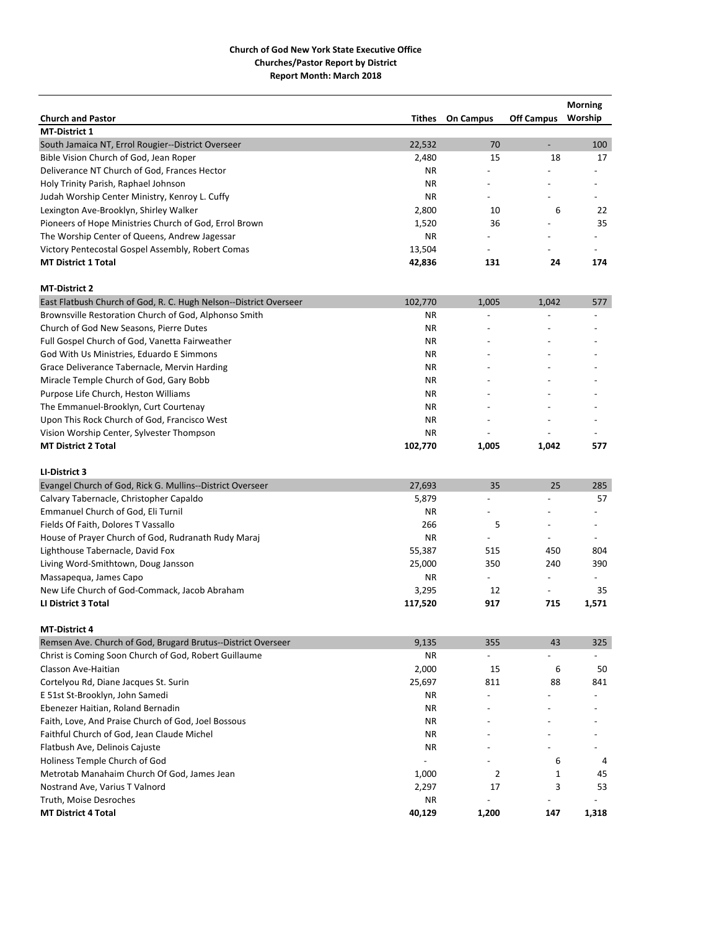|                                                                   |           |                  |                          | <b>Morning</b>           |
|-------------------------------------------------------------------|-----------|------------------|--------------------------|--------------------------|
| <b>Church and Pastor</b>                                          | Tithes    | <b>On Campus</b> | <b>Off Campus</b>        | Worship                  |
| <b>MT-District 1</b>                                              |           |                  |                          |                          |
| South Jamaica NT, Errol Rougier--District Overseer                | 22,532    | 70               | $\overline{\phantom{a}}$ | 100                      |
| Bible Vision Church of God, Jean Roper                            | 2,480     | 15               | 18                       | 17                       |
| Deliverance NT Church of God, Frances Hector                      | NR.       |                  |                          |                          |
| Holy Trinity Parish, Raphael Johnson                              | NR.       |                  |                          |                          |
| Judah Worship Center Ministry, Kenroy L. Cuffy                    | <b>NR</b> |                  |                          |                          |
| Lexington Ave-Brooklyn, Shirley Walker                            | 2,800     | 10               | 6                        | 22                       |
| Pioneers of Hope Ministries Church of God, Errol Brown            | 1,520     | 36               |                          | 35                       |
| The Worship Center of Queens, Andrew Jagessar                     | NR.       |                  |                          |                          |
| Victory Pentecostal Gospel Assembly, Robert Comas                 | 13,504    | $\overline{a}$   |                          |                          |
| <b>MT District 1 Total</b>                                        | 42,836    | 131              | 24                       | 174                      |
| <b>MT-District 2</b>                                              |           |                  |                          |                          |
| East Flatbush Church of God, R. C. Hugh Nelson--District Overseer | 102,770   | 1,005            | 1,042                    | 577                      |
| Brownsville Restoration Church of God, Alphonso Smith             | <b>NR</b> |                  |                          |                          |
| Church of God New Seasons, Pierre Dutes                           | ΝR        |                  |                          |                          |
| Full Gospel Church of God, Vanetta Fairweather                    | <b>NR</b> |                  |                          |                          |
| God With Us Ministries, Eduardo E Simmons                         | ΝR        |                  |                          |                          |
| Grace Deliverance Tabernacle, Mervin Harding                      | NR.       |                  |                          |                          |
| Miracle Temple Church of God, Gary Bobb                           | <b>NR</b> |                  |                          |                          |
| Purpose Life Church, Heston Williams                              | ΝR        |                  |                          |                          |
| The Emmanuel-Brooklyn, Curt Courtenay                             | ΝR        |                  |                          |                          |
| Upon This Rock Church of God, Francisco West                      | ΝR        |                  |                          |                          |
| Vision Worship Center, Sylvester Thompson                         | NR.       |                  |                          |                          |
| <b>MT District 2 Total</b>                                        | 102,770   | 1,005            | 1,042                    | 577                      |
| LI-District 3                                                     |           |                  |                          |                          |
| Evangel Church of God, Rick G. Mullins--District Overseer         | 27,693    | 35               | 25                       | 285                      |
| Calvary Tabernacle, Christopher Capaldo                           | 5,879     |                  |                          | 57                       |
| Emmanuel Church of God, Eli Turnil                                | <b>NR</b> |                  |                          |                          |
| Fields Of Faith, Dolores T Vassallo                               | 266       | 5                |                          |                          |
| House of Prayer Church of God, Rudranath Rudy Maraj               | NR.       | $\overline{a}$   | $\overline{\phantom{a}}$ | $\overline{\phantom{a}}$ |
| Lighthouse Tabernacle, David Fox                                  | 55,387    | 515              | 450                      | 804                      |
| Living Word-Smithtown, Doug Jansson                               | 25,000    | 350              | 240                      | 390                      |
| Massapequa, James Capo                                            | ΝR        | $\overline{a}$   | $\overline{a}$           | $\overline{a}$           |
| New Life Church of God-Commack, Jacob Abraham                     | 3,295     | 12               | $\overline{\phantom{a}}$ | 35                       |
| LI District 3 Total                                               | 117,520   | 917              | 715                      | 1,571                    |
| <b>MT-District 4</b>                                              |           |                  |                          |                          |
| Remsen Ave. Church of God, Brugard Brutus--District Overseer      | 9,135     | 355              | 43                       | 325                      |
| Christ is Coming Soon Church of God, Robert Guillaume             | ΝR        |                  |                          |                          |
| Classon Ave-Haitian                                               | 2,000     | 15               | 6                        | 50                       |
| Cortelyou Rd, Diane Jacques St. Surin                             | 25,697    | 811              | 88                       | 841                      |
| E 51st St-Brooklyn, John Samedi                                   | ΝR        |                  |                          |                          |
| Ebenezer Haitian, Roland Bernadin                                 | ΝR        |                  |                          |                          |
| Faith, Love, And Praise Church of God, Joel Bossous               | ΝR        |                  |                          |                          |
| Faithful Church of God, Jean Claude Michel                        | ΝR        |                  |                          |                          |
| Flatbush Ave, Delinois Cajuste                                    | ΝR        |                  |                          |                          |
| Holiness Temple Church of God                                     |           |                  | 6                        | 4                        |
| Metrotab Manahaim Church Of God, James Jean                       | 1,000     | $\overline{2}$   | 1                        | 45                       |
| Nostrand Ave, Varius T Valnord                                    | 2,297     | 17               | 3                        | 53                       |
| Truth, Moise Desroches                                            | ΝR        | $\overline{a}$   |                          |                          |
| <b>MT District 4 Total</b>                                        | 40,129    | 1,200            | 147                      | 1,318                    |
|                                                                   |           |                  |                          |                          |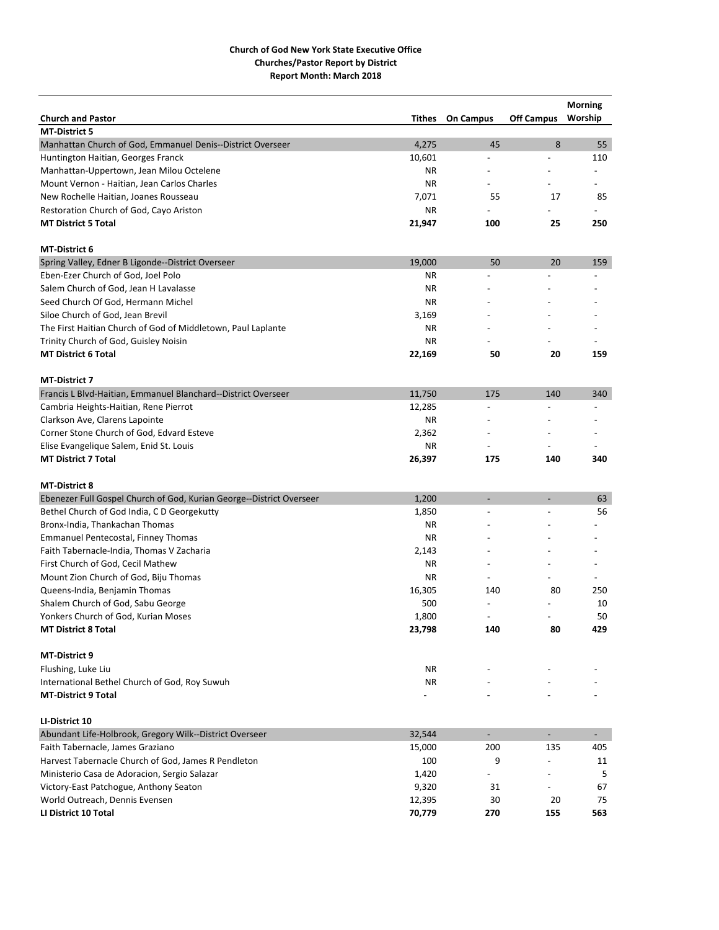|                                                                      |           |                          |                          | <b>Morning</b> |
|----------------------------------------------------------------------|-----------|--------------------------|--------------------------|----------------|
| <b>Church and Pastor</b>                                             | Tithes    | <b>On Campus</b>         | <b>Off Campus</b>        | Worship        |
| <b>MT-District 5</b>                                                 |           |                          |                          |                |
| Manhattan Church of God, Emmanuel Denis--District Overseer           | 4,275     | 45                       | 8                        | 55             |
| Huntington Haitian, Georges Franck                                   | 10,601    | $\overline{a}$           |                          | 110            |
| Manhattan-Uppertown, Jean Milou Octelene                             | ΝR        |                          |                          |                |
| Mount Vernon - Haitian, Jean Carlos Charles                          | ΝR        |                          |                          |                |
| New Rochelle Haitian, Joanes Rousseau                                | 7,071     | 55                       | 17                       | 85             |
| Restoration Church of God, Cayo Ariston                              | <b>NR</b> |                          |                          |                |
| <b>MT District 5 Total</b>                                           | 21,947    | 100                      | 25                       | 250            |
| <b>MT-District 6</b>                                                 |           |                          |                          |                |
| Spring Valley, Edner B Ligonde--District Overseer                    | 19,000    | 50                       | 20                       | 159            |
| Eben-Ezer Church of God, Joel Polo                                   | ΝR        |                          |                          |                |
| Salem Church of God, Jean H Lavalasse                                | <b>NR</b> |                          |                          |                |
| Seed Church Of God, Hermann Michel                                   | ΝR        |                          |                          |                |
| Siloe Church of God, Jean Brevil                                     | 3,169     |                          |                          |                |
| The First Haitian Church of God of Middletown, Paul Laplante         | ΝR        |                          |                          |                |
| Trinity Church of God, Guisley Noisin                                | ΝR        |                          |                          |                |
| <b>MT District 6 Total</b>                                           | 22,169    | 50                       | 20                       | 159            |
| <b>MT-District 7</b>                                                 |           |                          |                          |                |
|                                                                      |           |                          |                          |                |
| Francis L Blvd-Haitian, Emmanuel Blanchard--District Overseer        | 11,750    | 175                      | 140                      | 340            |
| Cambria Heights-Haitian, Rene Pierrot                                | 12,285    |                          |                          |                |
| Clarkson Ave, Clarens Lapointe                                       | ΝR        |                          |                          |                |
| Corner Stone Church of God, Edvard Esteve                            | 2,362     |                          |                          |                |
| Elise Evangelique Salem, Enid St. Louis                              | ΝR        |                          |                          |                |
| <b>MT District 7 Total</b>                                           | 26,397    | 175                      | 140                      | 340            |
| <b>MT-District 8</b>                                                 |           |                          |                          |                |
| Ebenezer Full Gospel Church of God, Kurian George--District Overseer | 1,200     | $\overline{\phantom{a}}$ | $\overline{\phantom{a}}$ | 63             |
| Bethel Church of God India, C D Georgekutty                          | 1,850     |                          |                          | 56             |
| Bronx-India, Thankachan Thomas                                       | <b>NR</b> |                          |                          |                |
| <b>Emmanuel Pentecostal, Finney Thomas</b>                           | <b>NR</b> |                          |                          |                |
| Faith Tabernacle-India, Thomas V Zacharia                            | 2,143     |                          |                          |                |
| First Church of God, Cecil Mathew                                    | <b>NR</b> |                          |                          |                |
| Mount Zion Church of God, Biju Thomas                                | ΝR        |                          |                          |                |
| Queens-India, Benjamin Thomas                                        | 16,305    | 140                      | 80                       | 250            |
| Shalem Church of God, Sabu George                                    | 500       |                          |                          | 10             |
| Yonkers Church of God, Kurian Moses                                  | 1,800     | $\overline{\phantom{a}}$ | $\overline{\phantom{a}}$ | 50             |
| <b>MT District 8 Total</b>                                           | 23,798    | 140                      | 80                       | 429            |
| <b>MT-District 9</b>                                                 |           |                          |                          |                |
| Flushing, Luke Liu                                                   | NR        |                          |                          |                |
| International Bethel Church of God, Roy Suwuh                        | NR        |                          |                          |                |
| <b>MT-District 9 Total</b>                                           |           |                          |                          |                |
| LI-District 10                                                       |           |                          |                          |                |
| Abundant Life-Holbrook, Gregory Wilk--District Overseer              | 32,544    | $\overline{\phantom{a}}$ | $\blacksquare$           | $\sim$         |
| Faith Tabernacle, James Graziano                                     | 15,000    | 200                      | 135                      | 405            |
| Harvest Tabernacle Church of God, James R Pendleton                  | 100       | 9                        |                          | 11             |
| Ministerio Casa de Adoracion, Sergio Salazar                         | 1,420     |                          |                          | 5              |
|                                                                      |           |                          |                          | 67             |
| Victory-East Patchogue, Anthony Seaton                               | 9,320     | 31                       |                          |                |
| World Outreach, Dennis Evensen                                       | 12,395    | 30                       | 20                       | 75             |
| LI District 10 Total                                                 | 70,779    | 270                      | 155                      | 563            |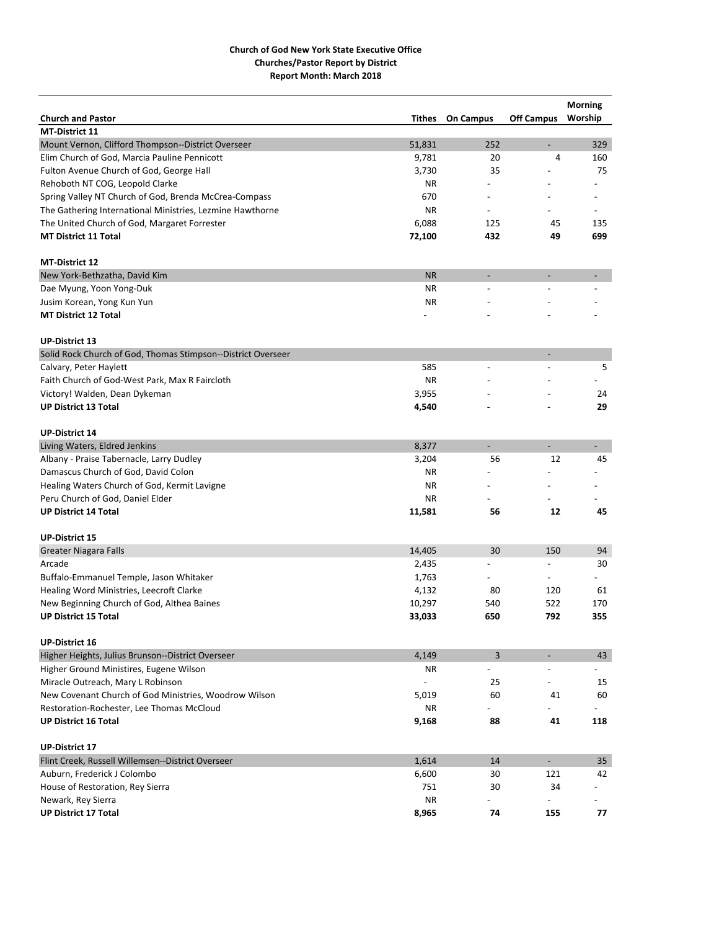| <b>Church and Pastor</b><br><b>Off Campus</b><br>Worship<br>Tithes<br><b>On Campus</b><br><b>MT-District 11</b><br>Mount Vernon, Clifford Thompson--District Overseer<br>51,831<br>252<br>329<br>$\overline{\phantom{a}}$<br>Elim Church of God, Marcia Pauline Pennicott<br>9,781<br>20<br>4<br>160<br>Fulton Avenue Church of God, George Hall<br>3,730<br>35<br>75<br>Rehoboth NT COG, Leopold Clarke<br>ΝR<br>Spring Valley NT Church of God, Brenda McCrea-Compass<br>670<br>The Gathering International Ministries, Lezmine Hawthorne<br>ΝR<br>The United Church of God, Margaret Forrester<br>6,088<br>125<br>45<br>135<br>699<br><b>MT District 11 Total</b><br>72,100<br>432<br>49<br><b>MT-District 12</b><br><b>NR</b><br>New York-Bethzatha, David Kim<br><b>NR</b><br>Dae Myung, Yoon Yong-Duk<br>Jusim Korean, Yong Kun Yun<br><b>NR</b><br><b>MT District 12 Total</b><br><b>UP-District 13</b><br>Solid Rock Church of God, Thomas Stimpson--District Overseer<br>$\qquad \qquad \blacksquare$<br>585<br>5<br>Calvary, Peter Haylett<br>$\overline{a}$<br><b>NR</b><br>Faith Church of God-West Park, Max R Faircloth<br>3,955<br>24<br>Victory! Walden, Dean Dykeman<br><b>UP District 13 Total</b><br>4,540<br>29<br><b>UP-District 14</b><br>8,377<br>Living Waters, Eldred Jenkins<br>$\overline{\phantom{a}}$<br>-<br>$\overline{\phantom{0}}$<br>12<br>45<br>Albany - Praise Tabernacle, Larry Dudley<br>3,204<br>56<br>Damascus Church of God, David Colon<br>ΝR<br>Healing Waters Church of God, Kermit Lavigne<br>ΝR<br>Peru Church of God, Daniel Elder<br><b>NR</b><br><b>UP District 14 Total</b><br>56<br>12<br>45<br>11,581<br><b>UP-District 15</b><br><b>Greater Niagara Falls</b><br>14,405<br>30<br>150<br>94<br>Arcade<br>30<br>2,435<br>$\overline{\phantom{a}}$<br>Buffalo-Emmanuel Temple, Jason Whitaker<br>1,763<br>4,132<br>80<br>120<br>61<br>Healing Word Ministries, Leecroft Clarke<br>10,297<br>522<br>New Beginning Church of God, Althea Baines<br>540<br>170<br><b>UP District 15 Total</b><br>33,033<br>650<br>792<br>355<br><b>UP-District 16</b><br>Higher Heights, Julius Brunson--District Overseer<br>4,149<br>3<br>43<br>Higher Ground Ministires, Eugene Wilson<br>ΝR<br>25<br>Miracle Outreach, Mary L Robinson<br>15<br>New Covenant Church of God Ministries, Woodrow Wilson<br>5,019<br>60<br>41<br>60<br>Restoration-Rochester, Lee Thomas McCloud<br>NR.<br>88<br>41<br><b>UP District 16 Total</b><br>9,168<br>118<br><b>UP-District 17</b><br>$\mathbb{L}$<br>Flint Creek, Russell Willemsen--District Overseer<br>1,614<br>14<br>35<br>Auburn, Frederick J Colombo<br>6,600<br>30<br>121<br>42<br>34<br>House of Restoration, Rey Sierra<br>751<br>30<br><b>NR</b><br>Newark, Rey Sierra<br>$\overline{\phantom{0}}$<br><b>UP District 17 Total</b><br>8,965<br>74<br>155<br>77 |  |  | <b>Morning</b> |
|---------------------------------------------------------------------------------------------------------------------------------------------------------------------------------------------------------------------------------------------------------------------------------------------------------------------------------------------------------------------------------------------------------------------------------------------------------------------------------------------------------------------------------------------------------------------------------------------------------------------------------------------------------------------------------------------------------------------------------------------------------------------------------------------------------------------------------------------------------------------------------------------------------------------------------------------------------------------------------------------------------------------------------------------------------------------------------------------------------------------------------------------------------------------------------------------------------------------------------------------------------------------------------------------------------------------------------------------------------------------------------------------------------------------------------------------------------------------------------------------------------------------------------------------------------------------------------------------------------------------------------------------------------------------------------------------------------------------------------------------------------------------------------------------------------------------------------------------------------------------------------------------------------------------------------------------------------------------------------------------------------------------------------------------------------------------------------------------------------------------------------------------------------------------------------------------------------------------------------------------------------------------------------------------------------------------------------------------------------------------------------------------------------------------------------------------------------------------------------------------------------------------------------------------------------------------------------------------------------------------------------------------------------------------------------------------------------------------------------------------------------------------------------------------------------------------------------------------------|--|--|----------------|
|                                                                                                                                                                                                                                                                                                                                                                                                                                                                                                                                                                                                                                                                                                                                                                                                                                                                                                                                                                                                                                                                                                                                                                                                                                                                                                                                                                                                                                                                                                                                                                                                                                                                                                                                                                                                                                                                                                                                                                                                                                                                                                                                                                                                                                                                                                                                                                                                                                                                                                                                                                                                                                                                                                                                                                                                                                                   |  |  |                |
|                                                                                                                                                                                                                                                                                                                                                                                                                                                                                                                                                                                                                                                                                                                                                                                                                                                                                                                                                                                                                                                                                                                                                                                                                                                                                                                                                                                                                                                                                                                                                                                                                                                                                                                                                                                                                                                                                                                                                                                                                                                                                                                                                                                                                                                                                                                                                                                                                                                                                                                                                                                                                                                                                                                                                                                                                                                   |  |  |                |
|                                                                                                                                                                                                                                                                                                                                                                                                                                                                                                                                                                                                                                                                                                                                                                                                                                                                                                                                                                                                                                                                                                                                                                                                                                                                                                                                                                                                                                                                                                                                                                                                                                                                                                                                                                                                                                                                                                                                                                                                                                                                                                                                                                                                                                                                                                                                                                                                                                                                                                                                                                                                                                                                                                                                                                                                                                                   |  |  |                |
|                                                                                                                                                                                                                                                                                                                                                                                                                                                                                                                                                                                                                                                                                                                                                                                                                                                                                                                                                                                                                                                                                                                                                                                                                                                                                                                                                                                                                                                                                                                                                                                                                                                                                                                                                                                                                                                                                                                                                                                                                                                                                                                                                                                                                                                                                                                                                                                                                                                                                                                                                                                                                                                                                                                                                                                                                                                   |  |  |                |
|                                                                                                                                                                                                                                                                                                                                                                                                                                                                                                                                                                                                                                                                                                                                                                                                                                                                                                                                                                                                                                                                                                                                                                                                                                                                                                                                                                                                                                                                                                                                                                                                                                                                                                                                                                                                                                                                                                                                                                                                                                                                                                                                                                                                                                                                                                                                                                                                                                                                                                                                                                                                                                                                                                                                                                                                                                                   |  |  |                |
|                                                                                                                                                                                                                                                                                                                                                                                                                                                                                                                                                                                                                                                                                                                                                                                                                                                                                                                                                                                                                                                                                                                                                                                                                                                                                                                                                                                                                                                                                                                                                                                                                                                                                                                                                                                                                                                                                                                                                                                                                                                                                                                                                                                                                                                                                                                                                                                                                                                                                                                                                                                                                                                                                                                                                                                                                                                   |  |  |                |
|                                                                                                                                                                                                                                                                                                                                                                                                                                                                                                                                                                                                                                                                                                                                                                                                                                                                                                                                                                                                                                                                                                                                                                                                                                                                                                                                                                                                                                                                                                                                                                                                                                                                                                                                                                                                                                                                                                                                                                                                                                                                                                                                                                                                                                                                                                                                                                                                                                                                                                                                                                                                                                                                                                                                                                                                                                                   |  |  |                |
|                                                                                                                                                                                                                                                                                                                                                                                                                                                                                                                                                                                                                                                                                                                                                                                                                                                                                                                                                                                                                                                                                                                                                                                                                                                                                                                                                                                                                                                                                                                                                                                                                                                                                                                                                                                                                                                                                                                                                                                                                                                                                                                                                                                                                                                                                                                                                                                                                                                                                                                                                                                                                                                                                                                                                                                                                                                   |  |  |                |
|                                                                                                                                                                                                                                                                                                                                                                                                                                                                                                                                                                                                                                                                                                                                                                                                                                                                                                                                                                                                                                                                                                                                                                                                                                                                                                                                                                                                                                                                                                                                                                                                                                                                                                                                                                                                                                                                                                                                                                                                                                                                                                                                                                                                                                                                                                                                                                                                                                                                                                                                                                                                                                                                                                                                                                                                                                                   |  |  |                |
|                                                                                                                                                                                                                                                                                                                                                                                                                                                                                                                                                                                                                                                                                                                                                                                                                                                                                                                                                                                                                                                                                                                                                                                                                                                                                                                                                                                                                                                                                                                                                                                                                                                                                                                                                                                                                                                                                                                                                                                                                                                                                                                                                                                                                                                                                                                                                                                                                                                                                                                                                                                                                                                                                                                                                                                                                                                   |  |  |                |
|                                                                                                                                                                                                                                                                                                                                                                                                                                                                                                                                                                                                                                                                                                                                                                                                                                                                                                                                                                                                                                                                                                                                                                                                                                                                                                                                                                                                                                                                                                                                                                                                                                                                                                                                                                                                                                                                                                                                                                                                                                                                                                                                                                                                                                                                                                                                                                                                                                                                                                                                                                                                                                                                                                                                                                                                                                                   |  |  |                |
|                                                                                                                                                                                                                                                                                                                                                                                                                                                                                                                                                                                                                                                                                                                                                                                                                                                                                                                                                                                                                                                                                                                                                                                                                                                                                                                                                                                                                                                                                                                                                                                                                                                                                                                                                                                                                                                                                                                                                                                                                                                                                                                                                                                                                                                                                                                                                                                                                                                                                                                                                                                                                                                                                                                                                                                                                                                   |  |  |                |
|                                                                                                                                                                                                                                                                                                                                                                                                                                                                                                                                                                                                                                                                                                                                                                                                                                                                                                                                                                                                                                                                                                                                                                                                                                                                                                                                                                                                                                                                                                                                                                                                                                                                                                                                                                                                                                                                                                                                                                                                                                                                                                                                                                                                                                                                                                                                                                                                                                                                                                                                                                                                                                                                                                                                                                                                                                                   |  |  |                |
|                                                                                                                                                                                                                                                                                                                                                                                                                                                                                                                                                                                                                                                                                                                                                                                                                                                                                                                                                                                                                                                                                                                                                                                                                                                                                                                                                                                                                                                                                                                                                                                                                                                                                                                                                                                                                                                                                                                                                                                                                                                                                                                                                                                                                                                                                                                                                                                                                                                                                                                                                                                                                                                                                                                                                                                                                                                   |  |  |                |
|                                                                                                                                                                                                                                                                                                                                                                                                                                                                                                                                                                                                                                                                                                                                                                                                                                                                                                                                                                                                                                                                                                                                                                                                                                                                                                                                                                                                                                                                                                                                                                                                                                                                                                                                                                                                                                                                                                                                                                                                                                                                                                                                                                                                                                                                                                                                                                                                                                                                                                                                                                                                                                                                                                                                                                                                                                                   |  |  |                |
|                                                                                                                                                                                                                                                                                                                                                                                                                                                                                                                                                                                                                                                                                                                                                                                                                                                                                                                                                                                                                                                                                                                                                                                                                                                                                                                                                                                                                                                                                                                                                                                                                                                                                                                                                                                                                                                                                                                                                                                                                                                                                                                                                                                                                                                                                                                                                                                                                                                                                                                                                                                                                                                                                                                                                                                                                                                   |  |  |                |
|                                                                                                                                                                                                                                                                                                                                                                                                                                                                                                                                                                                                                                                                                                                                                                                                                                                                                                                                                                                                                                                                                                                                                                                                                                                                                                                                                                                                                                                                                                                                                                                                                                                                                                                                                                                                                                                                                                                                                                                                                                                                                                                                                                                                                                                                                                                                                                                                                                                                                                                                                                                                                                                                                                                                                                                                                                                   |  |  |                |
|                                                                                                                                                                                                                                                                                                                                                                                                                                                                                                                                                                                                                                                                                                                                                                                                                                                                                                                                                                                                                                                                                                                                                                                                                                                                                                                                                                                                                                                                                                                                                                                                                                                                                                                                                                                                                                                                                                                                                                                                                                                                                                                                                                                                                                                                                                                                                                                                                                                                                                                                                                                                                                                                                                                                                                                                                                                   |  |  |                |
|                                                                                                                                                                                                                                                                                                                                                                                                                                                                                                                                                                                                                                                                                                                                                                                                                                                                                                                                                                                                                                                                                                                                                                                                                                                                                                                                                                                                                                                                                                                                                                                                                                                                                                                                                                                                                                                                                                                                                                                                                                                                                                                                                                                                                                                                                                                                                                                                                                                                                                                                                                                                                                                                                                                                                                                                                                                   |  |  |                |
|                                                                                                                                                                                                                                                                                                                                                                                                                                                                                                                                                                                                                                                                                                                                                                                                                                                                                                                                                                                                                                                                                                                                                                                                                                                                                                                                                                                                                                                                                                                                                                                                                                                                                                                                                                                                                                                                                                                                                                                                                                                                                                                                                                                                                                                                                                                                                                                                                                                                                                                                                                                                                                                                                                                                                                                                                                                   |  |  |                |
|                                                                                                                                                                                                                                                                                                                                                                                                                                                                                                                                                                                                                                                                                                                                                                                                                                                                                                                                                                                                                                                                                                                                                                                                                                                                                                                                                                                                                                                                                                                                                                                                                                                                                                                                                                                                                                                                                                                                                                                                                                                                                                                                                                                                                                                                                                                                                                                                                                                                                                                                                                                                                                                                                                                                                                                                                                                   |  |  |                |
|                                                                                                                                                                                                                                                                                                                                                                                                                                                                                                                                                                                                                                                                                                                                                                                                                                                                                                                                                                                                                                                                                                                                                                                                                                                                                                                                                                                                                                                                                                                                                                                                                                                                                                                                                                                                                                                                                                                                                                                                                                                                                                                                                                                                                                                                                                                                                                                                                                                                                                                                                                                                                                                                                                                                                                                                                                                   |  |  |                |
|                                                                                                                                                                                                                                                                                                                                                                                                                                                                                                                                                                                                                                                                                                                                                                                                                                                                                                                                                                                                                                                                                                                                                                                                                                                                                                                                                                                                                                                                                                                                                                                                                                                                                                                                                                                                                                                                                                                                                                                                                                                                                                                                                                                                                                                                                                                                                                                                                                                                                                                                                                                                                                                                                                                                                                                                                                                   |  |  |                |
|                                                                                                                                                                                                                                                                                                                                                                                                                                                                                                                                                                                                                                                                                                                                                                                                                                                                                                                                                                                                                                                                                                                                                                                                                                                                                                                                                                                                                                                                                                                                                                                                                                                                                                                                                                                                                                                                                                                                                                                                                                                                                                                                                                                                                                                                                                                                                                                                                                                                                                                                                                                                                                                                                                                                                                                                                                                   |  |  |                |
|                                                                                                                                                                                                                                                                                                                                                                                                                                                                                                                                                                                                                                                                                                                                                                                                                                                                                                                                                                                                                                                                                                                                                                                                                                                                                                                                                                                                                                                                                                                                                                                                                                                                                                                                                                                                                                                                                                                                                                                                                                                                                                                                                                                                                                                                                                                                                                                                                                                                                                                                                                                                                                                                                                                                                                                                                                                   |  |  |                |
|                                                                                                                                                                                                                                                                                                                                                                                                                                                                                                                                                                                                                                                                                                                                                                                                                                                                                                                                                                                                                                                                                                                                                                                                                                                                                                                                                                                                                                                                                                                                                                                                                                                                                                                                                                                                                                                                                                                                                                                                                                                                                                                                                                                                                                                                                                                                                                                                                                                                                                                                                                                                                                                                                                                                                                                                                                                   |  |  |                |
|                                                                                                                                                                                                                                                                                                                                                                                                                                                                                                                                                                                                                                                                                                                                                                                                                                                                                                                                                                                                                                                                                                                                                                                                                                                                                                                                                                                                                                                                                                                                                                                                                                                                                                                                                                                                                                                                                                                                                                                                                                                                                                                                                                                                                                                                                                                                                                                                                                                                                                                                                                                                                                                                                                                                                                                                                                                   |  |  |                |
|                                                                                                                                                                                                                                                                                                                                                                                                                                                                                                                                                                                                                                                                                                                                                                                                                                                                                                                                                                                                                                                                                                                                                                                                                                                                                                                                                                                                                                                                                                                                                                                                                                                                                                                                                                                                                                                                                                                                                                                                                                                                                                                                                                                                                                                                                                                                                                                                                                                                                                                                                                                                                                                                                                                                                                                                                                                   |  |  |                |
|                                                                                                                                                                                                                                                                                                                                                                                                                                                                                                                                                                                                                                                                                                                                                                                                                                                                                                                                                                                                                                                                                                                                                                                                                                                                                                                                                                                                                                                                                                                                                                                                                                                                                                                                                                                                                                                                                                                                                                                                                                                                                                                                                                                                                                                                                                                                                                                                                                                                                                                                                                                                                                                                                                                                                                                                                                                   |  |  |                |
|                                                                                                                                                                                                                                                                                                                                                                                                                                                                                                                                                                                                                                                                                                                                                                                                                                                                                                                                                                                                                                                                                                                                                                                                                                                                                                                                                                                                                                                                                                                                                                                                                                                                                                                                                                                                                                                                                                                                                                                                                                                                                                                                                                                                                                                                                                                                                                                                                                                                                                                                                                                                                                                                                                                                                                                                                                                   |  |  |                |
|                                                                                                                                                                                                                                                                                                                                                                                                                                                                                                                                                                                                                                                                                                                                                                                                                                                                                                                                                                                                                                                                                                                                                                                                                                                                                                                                                                                                                                                                                                                                                                                                                                                                                                                                                                                                                                                                                                                                                                                                                                                                                                                                                                                                                                                                                                                                                                                                                                                                                                                                                                                                                                                                                                                                                                                                                                                   |  |  |                |
|                                                                                                                                                                                                                                                                                                                                                                                                                                                                                                                                                                                                                                                                                                                                                                                                                                                                                                                                                                                                                                                                                                                                                                                                                                                                                                                                                                                                                                                                                                                                                                                                                                                                                                                                                                                                                                                                                                                                                                                                                                                                                                                                                                                                                                                                                                                                                                                                                                                                                                                                                                                                                                                                                                                                                                                                                                                   |  |  |                |
|                                                                                                                                                                                                                                                                                                                                                                                                                                                                                                                                                                                                                                                                                                                                                                                                                                                                                                                                                                                                                                                                                                                                                                                                                                                                                                                                                                                                                                                                                                                                                                                                                                                                                                                                                                                                                                                                                                                                                                                                                                                                                                                                                                                                                                                                                                                                                                                                                                                                                                                                                                                                                                                                                                                                                                                                                                                   |  |  |                |
|                                                                                                                                                                                                                                                                                                                                                                                                                                                                                                                                                                                                                                                                                                                                                                                                                                                                                                                                                                                                                                                                                                                                                                                                                                                                                                                                                                                                                                                                                                                                                                                                                                                                                                                                                                                                                                                                                                                                                                                                                                                                                                                                                                                                                                                                                                                                                                                                                                                                                                                                                                                                                                                                                                                                                                                                                                                   |  |  |                |
|                                                                                                                                                                                                                                                                                                                                                                                                                                                                                                                                                                                                                                                                                                                                                                                                                                                                                                                                                                                                                                                                                                                                                                                                                                                                                                                                                                                                                                                                                                                                                                                                                                                                                                                                                                                                                                                                                                                                                                                                                                                                                                                                                                                                                                                                                                                                                                                                                                                                                                                                                                                                                                                                                                                                                                                                                                                   |  |  |                |
|                                                                                                                                                                                                                                                                                                                                                                                                                                                                                                                                                                                                                                                                                                                                                                                                                                                                                                                                                                                                                                                                                                                                                                                                                                                                                                                                                                                                                                                                                                                                                                                                                                                                                                                                                                                                                                                                                                                                                                                                                                                                                                                                                                                                                                                                                                                                                                                                                                                                                                                                                                                                                                                                                                                                                                                                                                                   |  |  |                |
|                                                                                                                                                                                                                                                                                                                                                                                                                                                                                                                                                                                                                                                                                                                                                                                                                                                                                                                                                                                                                                                                                                                                                                                                                                                                                                                                                                                                                                                                                                                                                                                                                                                                                                                                                                                                                                                                                                                                                                                                                                                                                                                                                                                                                                                                                                                                                                                                                                                                                                                                                                                                                                                                                                                                                                                                                                                   |  |  |                |
|                                                                                                                                                                                                                                                                                                                                                                                                                                                                                                                                                                                                                                                                                                                                                                                                                                                                                                                                                                                                                                                                                                                                                                                                                                                                                                                                                                                                                                                                                                                                                                                                                                                                                                                                                                                                                                                                                                                                                                                                                                                                                                                                                                                                                                                                                                                                                                                                                                                                                                                                                                                                                                                                                                                                                                                                                                                   |  |  |                |
|                                                                                                                                                                                                                                                                                                                                                                                                                                                                                                                                                                                                                                                                                                                                                                                                                                                                                                                                                                                                                                                                                                                                                                                                                                                                                                                                                                                                                                                                                                                                                                                                                                                                                                                                                                                                                                                                                                                                                                                                                                                                                                                                                                                                                                                                                                                                                                                                                                                                                                                                                                                                                                                                                                                                                                                                                                                   |  |  |                |
|                                                                                                                                                                                                                                                                                                                                                                                                                                                                                                                                                                                                                                                                                                                                                                                                                                                                                                                                                                                                                                                                                                                                                                                                                                                                                                                                                                                                                                                                                                                                                                                                                                                                                                                                                                                                                                                                                                                                                                                                                                                                                                                                                                                                                                                                                                                                                                                                                                                                                                                                                                                                                                                                                                                                                                                                                                                   |  |  |                |
|                                                                                                                                                                                                                                                                                                                                                                                                                                                                                                                                                                                                                                                                                                                                                                                                                                                                                                                                                                                                                                                                                                                                                                                                                                                                                                                                                                                                                                                                                                                                                                                                                                                                                                                                                                                                                                                                                                                                                                                                                                                                                                                                                                                                                                                                                                                                                                                                                                                                                                                                                                                                                                                                                                                                                                                                                                                   |  |  |                |
|                                                                                                                                                                                                                                                                                                                                                                                                                                                                                                                                                                                                                                                                                                                                                                                                                                                                                                                                                                                                                                                                                                                                                                                                                                                                                                                                                                                                                                                                                                                                                                                                                                                                                                                                                                                                                                                                                                                                                                                                                                                                                                                                                                                                                                                                                                                                                                                                                                                                                                                                                                                                                                                                                                                                                                                                                                                   |  |  |                |
|                                                                                                                                                                                                                                                                                                                                                                                                                                                                                                                                                                                                                                                                                                                                                                                                                                                                                                                                                                                                                                                                                                                                                                                                                                                                                                                                                                                                                                                                                                                                                                                                                                                                                                                                                                                                                                                                                                                                                                                                                                                                                                                                                                                                                                                                                                                                                                                                                                                                                                                                                                                                                                                                                                                                                                                                                                                   |  |  |                |
|                                                                                                                                                                                                                                                                                                                                                                                                                                                                                                                                                                                                                                                                                                                                                                                                                                                                                                                                                                                                                                                                                                                                                                                                                                                                                                                                                                                                                                                                                                                                                                                                                                                                                                                                                                                                                                                                                                                                                                                                                                                                                                                                                                                                                                                                                                                                                                                                                                                                                                                                                                                                                                                                                                                                                                                                                                                   |  |  |                |
|                                                                                                                                                                                                                                                                                                                                                                                                                                                                                                                                                                                                                                                                                                                                                                                                                                                                                                                                                                                                                                                                                                                                                                                                                                                                                                                                                                                                                                                                                                                                                                                                                                                                                                                                                                                                                                                                                                                                                                                                                                                                                                                                                                                                                                                                                                                                                                                                                                                                                                                                                                                                                                                                                                                                                                                                                                                   |  |  |                |
|                                                                                                                                                                                                                                                                                                                                                                                                                                                                                                                                                                                                                                                                                                                                                                                                                                                                                                                                                                                                                                                                                                                                                                                                                                                                                                                                                                                                                                                                                                                                                                                                                                                                                                                                                                                                                                                                                                                                                                                                                                                                                                                                                                                                                                                                                                                                                                                                                                                                                                                                                                                                                                                                                                                                                                                                                                                   |  |  |                |
|                                                                                                                                                                                                                                                                                                                                                                                                                                                                                                                                                                                                                                                                                                                                                                                                                                                                                                                                                                                                                                                                                                                                                                                                                                                                                                                                                                                                                                                                                                                                                                                                                                                                                                                                                                                                                                                                                                                                                                                                                                                                                                                                                                                                                                                                                                                                                                                                                                                                                                                                                                                                                                                                                                                                                                                                                                                   |  |  |                |
|                                                                                                                                                                                                                                                                                                                                                                                                                                                                                                                                                                                                                                                                                                                                                                                                                                                                                                                                                                                                                                                                                                                                                                                                                                                                                                                                                                                                                                                                                                                                                                                                                                                                                                                                                                                                                                                                                                                                                                                                                                                                                                                                                                                                                                                                                                                                                                                                                                                                                                                                                                                                                                                                                                                                                                                                                                                   |  |  |                |
|                                                                                                                                                                                                                                                                                                                                                                                                                                                                                                                                                                                                                                                                                                                                                                                                                                                                                                                                                                                                                                                                                                                                                                                                                                                                                                                                                                                                                                                                                                                                                                                                                                                                                                                                                                                                                                                                                                                                                                                                                                                                                                                                                                                                                                                                                                                                                                                                                                                                                                                                                                                                                                                                                                                                                                                                                                                   |  |  |                |
|                                                                                                                                                                                                                                                                                                                                                                                                                                                                                                                                                                                                                                                                                                                                                                                                                                                                                                                                                                                                                                                                                                                                                                                                                                                                                                                                                                                                                                                                                                                                                                                                                                                                                                                                                                                                                                                                                                                                                                                                                                                                                                                                                                                                                                                                                                                                                                                                                                                                                                                                                                                                                                                                                                                                                                                                                                                   |  |  |                |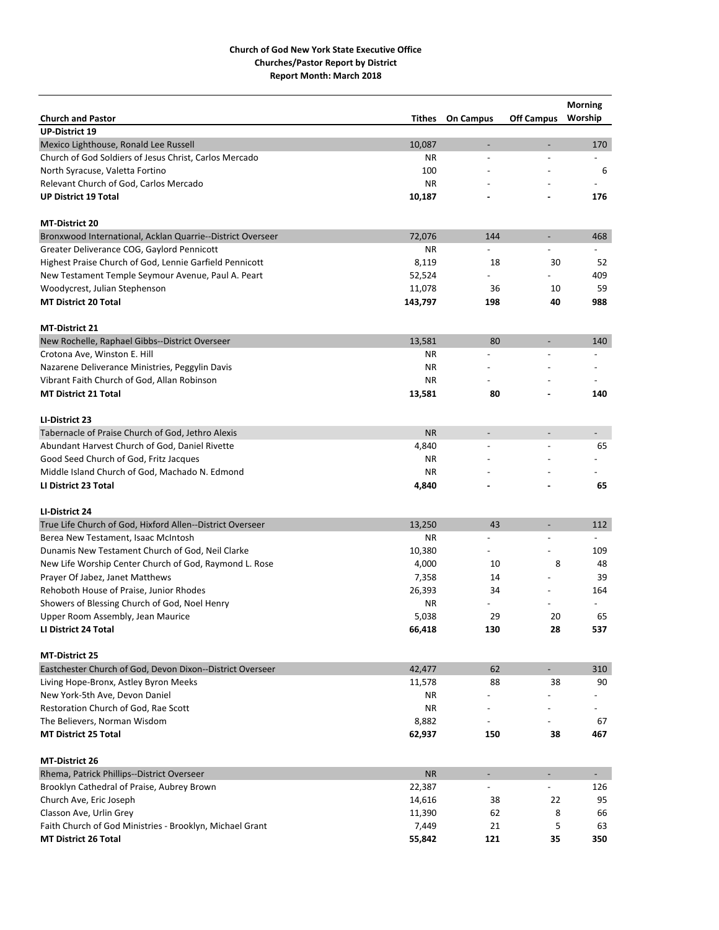|                                                            |           |                          |                              | <b>Morning</b>           |
|------------------------------------------------------------|-----------|--------------------------|------------------------------|--------------------------|
| <b>Church and Pastor</b>                                   | Tithes    | <b>On Campus</b>         | <b>Off Campus</b>            | Worship                  |
| <b>UP-District 19</b>                                      |           |                          |                              |                          |
| Mexico Lighthouse, Ronald Lee Russell                      | 10,087    | $\overline{\phantom{a}}$ | $\qquad \qquad \blacksquare$ | 170                      |
| Church of God Soldiers of Jesus Christ, Carlos Mercado     | ΝR        | $\overline{a}$           |                              |                          |
| North Syracuse, Valetta Fortino                            | 100       |                          |                              | 6                        |
| Relevant Church of God, Carlos Mercado                     | <b>NR</b> |                          |                              |                          |
| <b>UP District 19 Total</b>                                | 10,187    |                          |                              | 176                      |
| <b>MT-District 20</b>                                      |           |                          |                              |                          |
| Bronxwood International, Acklan Quarrie--District Overseer | 72,076    | 144                      | $\overline{\phantom{a}}$     | 468                      |
| Greater Deliverance COG, Gaylord Pennicott                 | ΝR        |                          |                              |                          |
| Highest Praise Church of God, Lennie Garfield Pennicott    | 8,119     | 18                       | 30                           | 52                       |
| New Testament Temple Seymour Avenue, Paul A. Peart         | 52,524    |                          |                              | 409                      |
| Woodycrest, Julian Stephenson                              | 11,078    | 36                       | 10                           | 59                       |
| <b>MT District 20 Total</b>                                | 143,797   | 198                      | 40                           | 988                      |
|                                                            |           |                          |                              |                          |
| <b>MT-District 21</b>                                      |           |                          |                              |                          |
| New Rochelle, Raphael Gibbs--District Overseer             | 13,581    | 80                       | $\overline{a}$               | 140                      |
| Crotona Ave, Winston E. Hill                               | ΝR        | $\overline{a}$           |                              |                          |
| Nazarene Deliverance Ministries, Peggylin Davis            | ΝR        |                          |                              |                          |
| Vibrant Faith Church of God, Allan Robinson                | ΝR        |                          |                              |                          |
| <b>MT District 21 Total</b>                                | 13,581    | 80                       |                              | 140                      |
| LI-District 23                                             |           |                          |                              |                          |
| Tabernacle of Praise Church of God, Jethro Alexis          | <b>NR</b> | $\overline{a}$           | $\overline{\phantom{m}}$     |                          |
| Abundant Harvest Church of God, Daniel Rivette             | 4,840     | $\overline{\phantom{a}}$ |                              | 65                       |
| Good Seed Church of God, Fritz Jacques                     | ΝR        |                          |                              |                          |
| Middle Island Church of God, Machado N. Edmond             | ΝR        |                          |                              |                          |
| LI District 23 Total                                       | 4,840     |                          |                              | 65                       |
| LI-District 24                                             |           |                          |                              |                          |
| True Life Church of God, Hixford Allen--District Overseer  | 13,250    | 43                       | $\overline{a}$               | 112                      |
| Berea New Testament, Isaac McIntosh                        | ΝR        | $\overline{a}$           | $\overline{a}$               | $\overline{a}$           |
| Dunamis New Testament Church of God, Neil Clarke           | 10,380    |                          |                              | 109                      |
| New Life Worship Center Church of God, Raymond L. Rose     | 4,000     | 10                       | 8                            | 48                       |
| Prayer Of Jabez, Janet Matthews                            | 7,358     | 14                       |                              | 39                       |
| Rehoboth House of Praise, Junior Rhodes                    | 26,393    | 34                       |                              | 164                      |
| Showers of Blessing Church of God, Noel Henry              | ΝR        |                          |                              |                          |
| Upper Room Assembly, Jean Maurice                          | 5,038     | 29                       | 20                           | 65                       |
| LI District 24 Total                                       | 66,418    | 130                      | 28                           | 537                      |
|                                                            |           |                          |                              |                          |
| <b>MT-District 25</b>                                      |           |                          |                              |                          |
| Eastchester Church of God, Devon Dixon--District Overseer  | 42,477    | 62                       | $\overline{\phantom{0}}$     | 310                      |
| Living Hope-Bronx, Astley Byron Meeks                      | 11,578    | 88                       | 38                           | 90                       |
| New York-5th Ave, Devon Daniel                             | ΝR        |                          |                              |                          |
| Restoration Church of God, Rae Scott                       | ΝR        |                          |                              |                          |
| The Believers, Norman Wisdom                               | 8,882     |                          |                              | 67                       |
| <b>MT District 25 Total</b>                                | 62,937    | 150                      | 38                           | 467                      |
| MT-District 26                                             |           |                          |                              |                          |
| Rhema, Patrick Phillips--District Overseer                 | <b>NR</b> | $\overline{\phantom{a}}$ | $\overline{\phantom{a}}$     | $\overline{\phantom{a}}$ |
| Brooklyn Cathedral of Praise, Aubrey Brown                 | 22,387    |                          |                              | 126                      |
| Church Ave, Eric Joseph                                    | 14,616    | 38                       | 22                           | 95                       |
| Classon Ave, Urlin Grey                                    | 11,390    | 62                       | 8                            | 66                       |
| Faith Church of God Ministries - Brooklyn, Michael Grant   | 7,449     | 21                       | 5                            | 63                       |
| <b>MT District 26 Total</b>                                | 55,842    | 121                      | 35                           | 350                      |